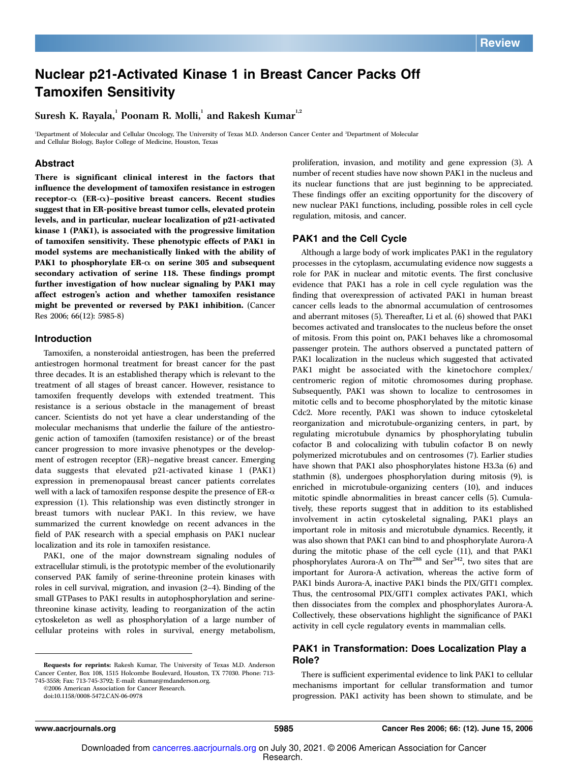### Nuclear p21-Activated Kinase 1 in Breast Cancer Packs Off Tamoxifen Sensitivity

Suresh K. Rayala, Poonam R. Molli, and Rakesh Kumar<sup>1,2</sup>

<sup>1</sup>Department of Molecular and Cellular Oncology, The University of Texas M.D. Anderson Cancer Center and <sup>2</sup>Department of Molecular and Cellular Biology, Baylor College of Medicine, Houston, Texas

#### **Abstract**

There is significant clinical interest in the factors that influence the development of tamoxifen resistance in estrogen receptor- $\alpha$  (ER- $\alpha$ )–positive breast cancers. Recent studies suggest that in ER-positive breast tumor cells, elevated protein levels, and in particular, nuclear localization of p21-activated kinase 1(PAK1), is associated with the progressive limitation of tamoxifen sensitivity. These phenotypic effects of PAK1 in model systems are mechanistically linked with the ability of PAK1 to phosphorylate ER- $\alpha$  on serine 305 and subsequent secondary activation of serine 118. These findings prompt further investigation of how nuclear signaling by PAK1 may affect estrogen's action and whether tamoxifen resistance might be prevented or reversed by PAK1 inhibition. (Cancer Res 2006; 66(12): 5985-8)

#### Introduction

Tamoxifen, a nonsteroidal antiestrogen, has been the preferred antiestrogen hormonal treatment for breast cancer for the past three decades. It is an established therapy which is relevant to the treatment of all stages of breast cancer. However, resistance to tamoxifen frequently develops with extended treatment. This resistance is a serious obstacle in the management of breast cancer. Scientists do not yet have a clear understanding of the molecular mechanisms that underlie the failure of the antiestrogenic action of tamoxifen (tamoxifen resistance) or of the breast cancer progression to more invasive phenotypes or the development of estrogen receptor (ER)–negative breast cancer. Emerging data suggests that elevated p21-activated kinase 1 (PAK1) expression in premenopausal breast cancer patients correlates well with a lack of tamoxifen response despite the presence of  $ER-\alpha$ expression (1). This relationship was even distinctly stronger in breast tumors with nuclear PAK1. In this review, we have summarized the current knowledge on recent advances in the field of PAK research with a special emphasis on PAK1 nuclear localization and its role in tamoxifen resistance.

PAK1, one of the major downstream signaling nodules of extracellular stimuli, is the prototypic member of the evolutionarily conserved PAK family of serine-threonine protein kinases with roles in cell survival, migration, and invasion (2–4). Binding of the small GTPases to PAK1 results in autophosphorylation and serinethreonine kinase activity, leading to reorganization of the actin cytoskeleton as well as phosphorylation of a large number of cellular proteins with roles in survival, energy metabolism,

Requests for reprints: Rakesh Kumar, The University of Texas M.D. Anderson Cancer Center, Box 108, 1515 Holcombe Boulevard, Houston, TX 77030. Phone: 713- 745-3558; Fax: 713-745-3792; E-mail: rkumar@mdanderson.org.

©2006 American Association for Cancer Research.

doi:10.1158/0008-5472.CAN-06-0978

proliferation, invasion, and motility and gene expression (3). A number of recent studies have now shown PAK1 in the nucleus and its nuclear functions that are just beginning to be appreciated. These findings offer an exciting opportunity for the discovery of new nuclear PAK1 functions, including, possible roles in cell cycle regulation, mitosis, and cancer.

#### PAK1 and the Cell Cycle

Although a large body of work implicates PAK1 in the regulatory processes in the cytoplasm, accumulating evidence now suggests a role for PAK in nuclear and mitotic events. The first conclusive evidence that PAK1 has a role in cell cycle regulation was the finding that overexpression of activated PAK1 in human breast cancer cells leads to the abnormal accumulation of centrosomes and aberrant mitoses (5). Thereafter, Li et al. (6) showed that PAK1 becomes activated and translocates to the nucleus before the onset of mitosis. From this point on, PAK1 behaves like a chromosomal passenger protein. The authors observed a punctated pattern of PAK1 localization in the nucleus which suggested that activated PAK1 might be associated with the kinetochore complex/ centromeric region of mitotic chromosomes during prophase. Subsequently, PAK1 was shown to localize to centrosomes in mitotic cells and to become phosphorylated by the mitotic kinase Cdc2. More recently, PAK1 was shown to induce cytoskeletal reorganization and microtubule-organizing centers, in part, by regulating microtubule dynamics by phosphorylating tubulin cofactor B and colocalizing with tubulin cofactor B on newly polymerized microtubules and on centrosomes (7). Earlier studies have shown that PAK1 also phosphorylates histone H3.3a (6) and stathmin (8), undergoes phosphorylation during mitosis (9), is enriched in microtubule-organizing centers (10), and induces mitotic spindle abnormalities in breast cancer cells (5). Cumulatively, these reports suggest that in addition to its established involvement in actin cytoskeletal signaling, PAK1 plays an important role in mitosis and microtubule dynamics. Recently, it was also shown that PAK1 can bind to and phosphorylate Aurora-A during the mitotic phase of the cell cycle (11), and that PAK1 phosphorylates Aurora-A on Thr<sup>288</sup> and Ser<sup>342</sup>, two sites that are important for Aurora-A activation, whereas the active form of PAK1 binds Aurora-A, inactive PAK1 binds the PIX/GIT1 complex. Thus, the centrosomal PIX/GIT1 complex activates PAK1, which then dissociates from the complex and phosphorylates Aurora-A. Collectively, these observations highlight the significance of PAK1 activity in cell cycle regulatory events in mammalian cells.

#### PAK1 in Transformation: Does Localization Play a Role?

There is sufficient experimental evidence to link PAK1 to cellular mechanisms important for cellular transformation and tumor progression. PAK1 activity has been shown to stimulate, and be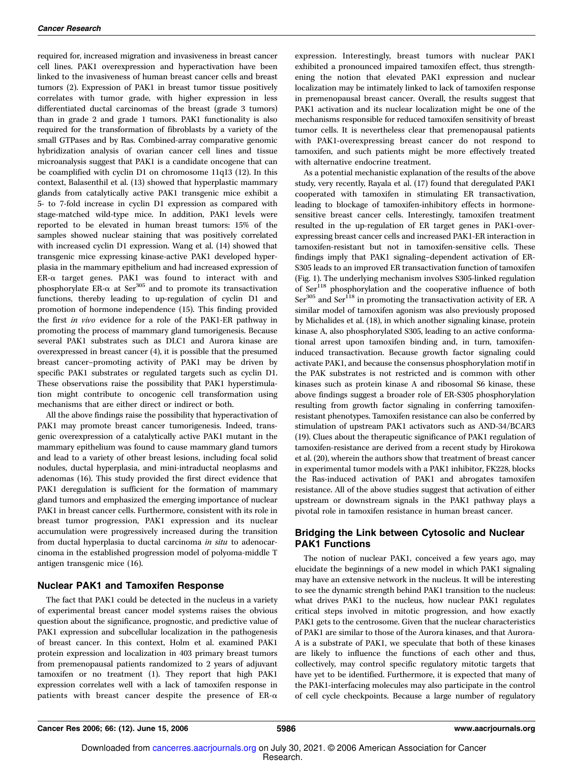required for, increased migration and invasiveness in breast cancer cell lines. PAK1 overexpression and hyperactivation have been linked to the invasiveness of human breast cancer cells and breast tumors (2). Expression of PAK1 in breast tumor tissue positively correlates with tumor grade, with higher expression in less differentiated ductal carcinomas of the breast (grade 3 tumors) than in grade 2 and grade 1 tumors. PAK1 functionality is also required for the transformation of fibroblasts by a variety of the small GTPases and by Ras. Combined-array comparative genomic hybridization analysis of ovarian cancer cell lines and tissue microanalysis suggest that PAK1 is a candidate oncogene that can be coamplified with cyclin D1 on chromosome 11q13 (12). In this context, Balasenthil et al. (13) showed that hyperplastic mammary glands from catalytically active PAK1 transgenic mice exhibit a 5- to 7-fold increase in cyclin D1 expression as compared with stage-matched wild-type mice. In addition, PAK1 levels were reported to be elevated in human breast tumors: 15% of the samples showed nuclear staining that was positively correlated with increased cyclin D1 expression. Wang et al. (14) showed that transgenic mice expressing kinase-active PAK1 developed hyperplasia in the mammary epithelium and had increased expression of ER-a target genes. PAK1 was found to interact with and phosphorylate ER- $\alpha$  at Ser<sup>305</sup> and to promote its transactivation functions, thereby leading to up-regulation of cyclin D1 and promotion of hormone independence (15). This finding provided the first in vivo evidence for a role of the PAK1-ER pathway in promoting the process of mammary gland tumorigenesis. Because several PAK1 substrates such as DLC1 and Aurora kinase are overexpressed in breast cancer (4), it is possible that the presumed breast cancer–promoting activity of PAK1 may be driven by specific PAK1 substrates or regulated targets such as cyclin D1. These observations raise the possibility that PAK1 hyperstimulation might contribute to oncogenic cell transformation using mechanisms that are either direct or indirect or both.

All the above findings raise the possibility that hyperactivation of PAK1 may promote breast cancer tumorigenesis. Indeed, transgenic overexpression of a catalytically active PAK1 mutant in the mammary epithelium was found to cause mammary gland tumors and lead to a variety of other breast lesions, including focal solid nodules, ductal hyperplasia, and mini-intraductal neoplasms and adenomas (16). This study provided the first direct evidence that PAK1 deregulation is sufficient for the formation of mammary gland tumors and emphasized the emerging importance of nuclear PAK1 in breast cancer cells. Furthermore, consistent with its role in breast tumor progression, PAK1 expression and its nuclear accumulation were progressively increased during the transition from ductal hyperplasia to ductal carcinoma in situ to adenocarcinoma in the established progression model of polyoma-middle T antigen transgenic mice (16).

#### Nuclear PAK1 and Tamoxifen Response

The fact that PAK1 could be detected in the nucleus in a variety of experimental breast cancer model systems raises the obvious question about the significance, prognostic, and predictive value of PAK1 expression and subcellular localization in the pathogenesis of breast cancer. In this context, Holm et al. examined PAK1 protein expression and localization in 403 primary breast tumors from premenopausal patients randomized to 2 years of adjuvant tamoxifen or no treatment (1). They report that high PAK1 expression correlates well with a lack of tamoxifen response in patients with breast cancer despite the presence of  $ER-\alpha$ 

expression. Interestingly, breast tumors with nuclear PAK1 exhibited a pronounced impaired tamoxifen effect, thus strengthening the notion that elevated PAK1 expression and nuclear localization may be intimately linked to lack of tamoxifen response in premenopausal breast cancer. Overall, the results suggest that PAK1 activation and its nuclear localization might be one of the mechanisms responsible for reduced tamoxifen sensitivity of breast tumor cells. It is nevertheless clear that premenopausal patients with PAK1-overexpressing breast cancer do not respond to tamoxifen, and such patients might be more effectively treated with alternative endocrine treatment.

As a potential mechanistic explanation of the results of the above study, very recently, Rayala et al. (17) found that deregulated PAK1 cooperated with tamoxifen in stimulating ER transactivation, leading to blockage of tamoxifen-inhibitory effects in hormonesensitive breast cancer cells. Interestingly, tamoxifen treatment resulted in the up-regulation of ER target genes in PAK1-overexpressing breast cancer cells and increased PAK1-ER interaction in tamoxifen-resistant but not in tamoxifen-sensitive cells. These findings imply that PAK1 signaling–dependent activation of ER-S305 leads to an improved ER transactivation function of tamoxifen (Fig. 1). The underlying mechanism involves S305-linked regulation of Ser<sup>118</sup> phosphorylation and the cooperative influence of both  $\text{Ser}^{305}$  and  $\text{Ser}^{118}$  in promoting the transactivation activity of ER. A similar model of tamoxifen agonism was also previously proposed by Michalides et al. (18), in which another signaling kinase, protein kinase A, also phosphorylated S305, leading to an active conformational arrest upon tamoxifen binding and, in turn, tamoxifeninduced transactivation. Because growth factor signaling could activate PAK1, and because the consensus phosphorylation motif in the PAK substrates is not restricted and is common with other kinases such as protein kinase A and ribosomal S6 kinase, these above findings suggest a broader role of ER-S305 phosphorylation resulting from growth factor signaling in conferring tamoxifenresistant phenotypes. Tamoxifen resistance can also be conferred by stimulation of upstream PAK1 activators such as AND-34/BCAR3 (19). Clues about the therapeutic significance of PAK1 regulation of tamoxifen-resistance are derived from a recent study by Hirokowa et al. (20), wherein the authors show that treatment of breast cancer in experimental tumor models with a PAK1 inhibitor, FK228, blocks the Ras-induced activation of PAK1 and abrogates tamoxifen resistance. All of the above studies suggest that activation of either upstream or downstream signals in the PAK1 pathway plays a pivotal role in tamoxifen resistance in human breast cancer.

#### Bridging the Link between Cytosolic and Nuclear PAK1 Functions

The notion of nuclear PAK1, conceived a few years ago, may elucidate the beginnings of a new model in which PAK1 signaling may have an extensive network in the nucleus. It will be interesting to see the dynamic strength behind PAK1 transition to the nucleus: what drives PAK1 to the nucleus, how nuclear PAK1 regulates critical steps involved in mitotic progression, and how exactly PAK1 gets to the centrosome. Given that the nuclear characteristics of PAK1 are similar to those of the Aurora kinases, and that Aurora-A is a substrate of PAK1, we speculate that both of these kinases are likely to influence the functions of each other and thus, collectively, may control specific regulatory mitotic targets that have yet to be identified. Furthermore, it is expected that many of the PAK1-interfacing molecules may also participate in the control of cell cycle checkpoints. Because a large number of regulatory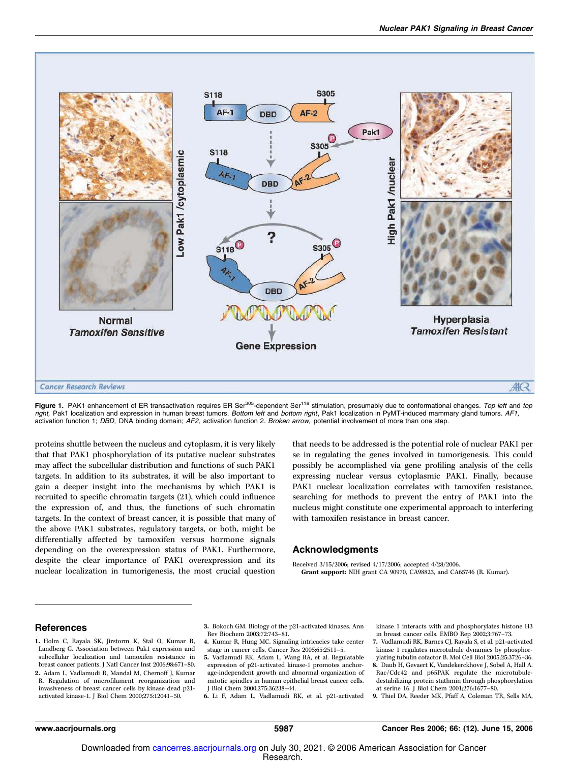

Figure 1. PAK1 enhancement of ER transactivation requires ER Ser<sup>305</sup>-dependent Ser<sup>118</sup> stimulation, presumably due to conformational changes. Top left and top right, Pak1 localization and expression in human breast tumors. Bottom left and bottom right, Pak1 localization in PyMT-induced mammary gland tumors. AF1, activation function 1; DBD, DNA binding domain; AF2, activation function 2. Broken arrow, potential involvement of more than one step.

proteins shuttle between the nucleus and cytoplasm, it is very likely that that PAK1 phosphorylation of its putative nuclear substrates may affect the subcellular distribution and functions of such PAK1 targets. In addition to its substrates, it will be also important to gain a deeper insight into the mechanisms by which PAK1 is recruited to specific chromatin targets (21), which could influence the expression of, and thus, the functions of such chromatin targets. In the context of breast cancer, it is possible that many of the above PAK1 substrates, regulatory targets, or both, might be differentially affected by tamoxifen versus hormone signals depending on the overexpression status of PAK1. Furthermore, despite the clear importance of PAK1 overexpression and its nuclear localization in tumorigenesis, the most crucial question

that needs to be addressed is the potential role of nuclear PAK1 per se in regulating the genes involved in tumorigenesis. This could possibly be accomplished via gene profiling analysis of the cells expressing nuclear versus cytoplasmic PAK1. Finally, because PAK1 nuclear localization correlates with tamoxifen resistance, searching for methods to prevent the entry of PAK1 into the nucleus might constitute one experimental approach to interfering with tamoxifen resistance in breast cancer.

#### Acknowledgments

Received 3/15/2006; revised 4/17/2006; accepted 4/28/2006. Grant support: NIH grant CA 90970, CA98823, and CA65746 (R. Kumar).

#### References

- 1. Holm C, Rayala SK, Jirstorm K, Stal O, Kumar R, Landberg G. Association between Pak1 expression and subcellular localization and tamoxifen resistance in breast cancer patients. J Natl Cancer Inst 2006;98:671–80. 2. Adam L, Vadlamudi R, Mandal M, Chernoff J, Kumar
- R. Regulation of microfilament reorganization and invasiveness of breast cancer cells by kinase dead p21 activated kinase-1. J Biol Chem 2000;275:12041–50.

3. Bokoch GM. Biology of the p21-activated kinases. Ann Rev Biochem 2003;72:743–81.

- 4. Kumar R, Hung MC. Signaling intricacies take center stage in cancer cells. Cancer Res 2005;65:2511–5. 5. Vadlamudi RK, Adam L, Wang RA, et al. Regulatable
- expression of p21-activated kinase-1 promotes anchorage-independent growth and abnormal organization of mitotic spindles in human epithelial breast cancer cells.

J Biol Chem 2000;275:36238–44. 6. Li F, Adam L, Vadlamudi RK, et al. p21-activated kinase 1 interacts with and phosphorylates histone H3 in breast cancer cells. EMBO Rep 2002;3:767–73.

- 7. Vadlamudi RK, Barnes CJ, Rayala S, et al. p21-activated kinase 1 regulates microtubule dynamics by phosphorylating tubulin cofactor B. Mol Cell Biol 2005;25:3726–36.
- 8. Daub H, Gevaert K, Vandekerckhove J, Sobel A, Hall A. Rac/Cdc42 and p65PAK regulate the microtubuledestabilizing protein stathmin through phosphorylation at serine 16. J Biol Chem 2001;276:1677–80.
- 9. Thiel DA, Reeder MK, Pfaff A, Coleman TR, Sells MA,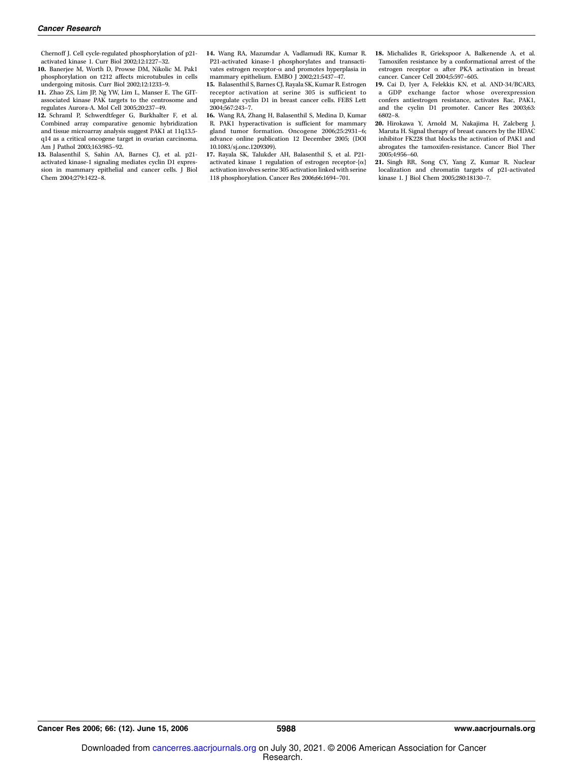Chernoff J. Cell cycle-regulated phosphorylation of p21 activated kinase 1. Curr Biol 2002;12:1227–32.

- 10. Banerjee M, Worth D, Prowse DM, Nikolic M. Pak1 phosphorylation on t212 affects microtubules in cells undergoing mitosis. Curr Biol 2002;12:1233–9.
- 11. Zhao ZS, Lim JP, Ng YW, Lim L, Manser E. The GITassociated kinase PAK targets to the centrosome and regulates Aurora-A. Mol Cell 2005;20:237–49.
- 12. Schraml P, Schwerdtfeger G, Burkhalter F, et al. Combined array comparative genomic hybridization and tissue microarray analysis suggest PAK1 at 11q13.5 q14 as a critical oncogene target in ovarian carcinoma. Am J Pathol 2003;163:985–92.
- 13. Balasenthil S, Sahin AA, Barnes CJ, et al. p21 activated kinase-1 signaling mediates cyclin D1 expression in mammary epithelial and cancer cells. J Biol Chem 2004;279:1422–8.
- 14. Wang RA, Mazumdar A, Vadlamudi RK, Kumar R. P21-activated kinase-1 phosphorylates and transactivates estrogen receptor- $\alpha$  and promotes hyperplasia in mammary epithelium. EMBO J 2002;21:5437-47.
- 15. Balasenthil S, Barnes CJ, Rayala SK, Kumar R. Estrogen receptor activation at serine 305 is sufficient to upregulate cyclin D1 in breast cancer cells. FEBS Lett 2004;567:243–7.
- 16. Wang RA, Zhang H, Balasenthil S, Medina D, Kumar R. PAK1 hyperactivation is sufficient for mammary gland tumor formation. Oncogene 2006;25:2931–6; advance online publication 12 December 2005; (DOI 10.1083/sj.onc.1209309).
- 17. Rayala SK, Talukder AH, Balasenthil S, et al. P21 activated kinase 1 regulation of estrogen receptor- $\{\alpha\}$ activation involves serine 305 activation linked with serine 118 phosphorylation. Cancer Res 2006;66:1694–701.

18. Michalides R, Griekspoor A, Balkenende A, et al. Tamoxifen resistance by a conformational arrest of the estrogen receptor a after PKA activation in breast cancer. Cancer Cell 2004;5:597–605.

- 19. Cai D, Iyer A, Felekkis KN, et al. AND-34/BCAR3, a GDP exchange factor whose overexpression confers antiestrogen resistance, activates Rac, PAK1, and the cyclin D1 promoter. Cancer Res 2003;63: 6802–8.
- 20. Hirokawa Y, Arnold M, Nakajima H, Zalcberg J, Maruta H. Signal therapy of breast cancers by the HDAC inhibitor FK228 that blocks the activation of PAK1 and abrogates the tamoxifen-resistance. Cancer Biol Ther 2005;4:956–60.
- 21. Singh RR, Song CY, Yang Z, Kumar R. Nuclear localization and chromatin targets of p21-activated kinase 1. J Biol Chem 2005;280:18130–7.